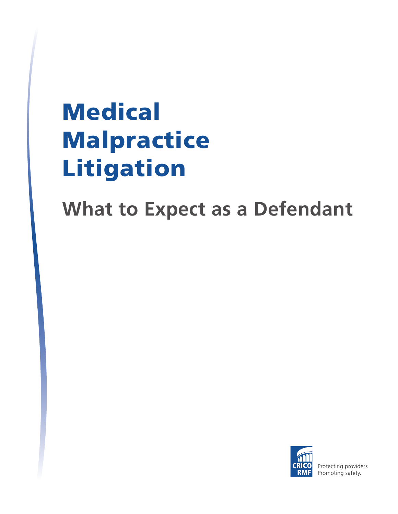# **Medical** Malpractice Litigation

**What to Expect as a Defendant** 



Protecting providers. Promoting safety.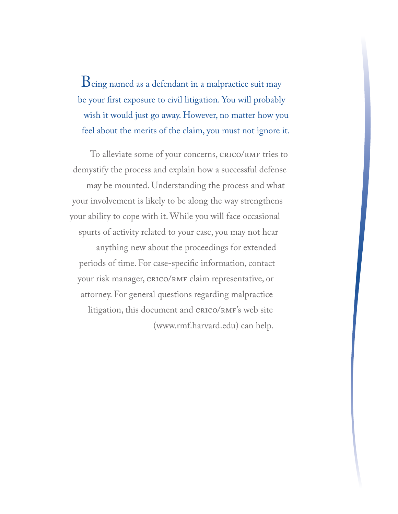Being named as a defendant in a malpractice suit may be your first exposure to civil litigation. You will probably wish it would just go away. However, no matter how you feel about the merits of the claim, you must not ignore it.

To alleviate some of your concerns, CRICO/RMF tries to demystify the process and explain how a successful defense may be mounted. Understanding the process and what your involvement is likely to be along the way strengthens your ability to cope with it. While you will face occasional spurts of activity related to your case, you may not hear anything new about the proceedings for extended periods of time. For case-specific information, contact your risk manager, CRICO/RMF claim representative, or attorney. For general questions regarding malpractice litigation, this document and CRICO/RMF's web site (www.rmf.harvard.edu) can help.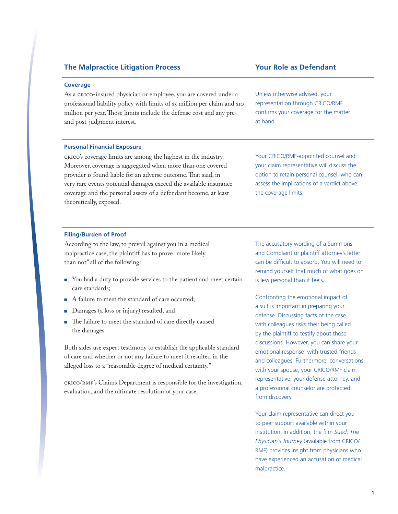#### **Coverage**

As a CRICO-insured physician or employee, you are covered under a professional liability policy with limits of \$5 million per claim and \$10 million per year. Those limits include the defense cost and any preand post-judgment interest.

#### **Personal Financial Exposure**

CRICO's coverage limits are among the highest in the industry. Moreover, coverage is aggregated when more than one covered provider is found liable for an adverse outcome. That said, in very rare events potential damages exceed the available insurance coverage and the personal assets of a defendant become, at least theoretically, exposed.

Unless otherwise advised, your representation through CRICO/RMF confirms your coverage for the matter at hand.

Your CRICO/RMF-appointed counsel and your claim representative will discuss the option to retain personal counsel, who can assess the implications of a verdict above the coverage limits.

#### **Filing/Burden of Proof**

According to the law, to prevail against you in a medical malpractice case, the plaintiff has to prove "more likely than not" all of the following:

- You had a duty to provide services to the patient and meet certain care standards;
- A failure to meet the standard of care occurred;
- Damages (a loss or injury) resulted; and
- The failure to meet the standard of care directly caused the damages.

Both sides use expert testimony to establish the applicable standard of care and whether or not any failure to meet it resulted in the alleged loss to a "reasonable degree of medical certainty."

CRICO/RMF's Claims Department is responsible for the investigation, evaluation, and the ultimate resolution of your case.

The accusatory wording of a Summons and Complaint or plaintiff attorney's letter can be difficult to absorb. You will need to remind yourself that much of what goes on is less personal than it feels.

Confronting the emotional impact of a suit is important in preparing your defense. Discussing facts of the case with colleagues risks their being called by the plaintiff to testify about those discussions. However, you can share your emotional response with trusted friends and colleagues. Furthermore, conversations with your spouse, your CRICO/RMF claim representative, your defense attorney, and a professional counselor are protected from discovery.

Your claim representative can direct you to peer support available within your institution. In addition, the film *Sued: The Physician's Journey* (available from CRICO/ RMF) provides insight from physicians who have experienced an accusation of medical malpractice.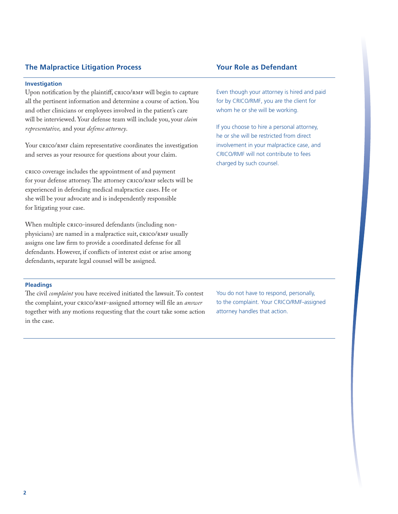#### **Investigation**

Upon notification by the plaintiff, CRICO/RMF will begin to capture all the pertinent information and determine a course of action. You and other clinicians or employees involved in the patient's care will be interviewed. Your defense team will include you, your *claim representative,* and your *defense attorney*.

Your CRICO/RMF claim representative coordinates the investigation and serves as your resource for questions about your claim.

CRICO coverage includes the appointment of and payment for your defense attorney. The attorney CRICO/RMF selects will be experienced in defending medical malpractice cases. He or she will be your advocate and is independently responsible for litigating your case.

When multiple CRICO-insured defendants (including nonphysicians) are named in a malpractice suit, CRICO/RMF usually assigns one law firm to provide a coordinated defense for all defendants. However, if conflicts of interest exist or arise among defendants, separate legal counsel will be assigned.

Even though your attorney is hired and paid for by CRICO/RMF, you are the client for whom he or she will be working.

If you choose to hire a personal attorney, he or she will be restricted from direct involvement in your malpractice case, and CRICO/RMF will not contribute to fees charged by such counsel.

#### **Pleadings**

The civil *complaint* you have received initiated the lawsuit. To contest the complaint, your CRICO/RMF-assigned attorney will file an *answer* together with any motions requesting that the court take some action in the case.

You do not have to respond, personally, to the complaint. Your CRICO/RMF-assigned attorney handles that action.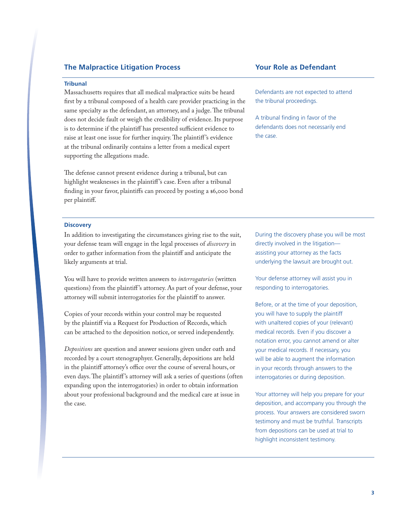#### **Tribunal**

Massachusetts requires that all medical malpractice suits be heard first by a tribunal composed of a health care provider practicing in the same specialty as the defendant, an attorney, and a judge. The tribunal does not decide fault or weigh the credibility of evidence. Its purpose is to determine if the plaintiff has presented sufficient evidence to raise at least one issue for further inquiry. The plaintiff 's evidence at the tribunal ordinarily contains a letter from a medical expert supporting the allegations made.

The defense cannot present evidence during a tribunal, but can highlight weaknesses in the plaintiff 's case. Even after a tribunal finding in your favor, plaintiffs can proceed by posting a \$6,000 bond per plaintiff.

Defendants are not expected to attend the tribunal proceedings.

A tribunal finding in favor of the defendants does not necessarily end the case.

#### **Discovery**

In addition to investigating the circumstances giving rise to the suit, your defense team will engage in the legal processes of *discovery* in order to gather information from the plaintiff and anticipate the likely arguments at trial.

You will have to provide written answers to *interrogatories* (written questions) from the plaintiff 's attorney. As part of your defense, your attorney will submit interrogatories for the plaintiff to answer.

Copies of your records within your control may be requested by the plaintiff via a Request for Production of Records, which can be attached to the deposition notice, or served independently.

*Depositions* are question and answer sessions given under oath and recorded by a court stenographyer. Generally, depositions are held in the plaintiff attorney's office over the course of several hours, or even days. The plaintiff 's attorney will ask a series of questions (often expanding upon the interrogatories) in order to obtain information about your professional background and the medical care at issue in the case.

During the discovery phase you will be most directly involved in the litigation assisting your attorney as the facts underlying the lawsuit are brought out.

Your defense attorney will assist you in responding to interrogatories.

Before, or at the time of your deposition, you will have to supply the plaintiff with unaltered copies of your (relevant) medical records. Even if you discover a notation error, you cannot amend or alter your medical records. If necessary, you will be able to augment the information in your records through answers to the interrogatories or during deposition.

Your attorney will help you prepare for your deposition, and accompany you through the process. Your answers are considered sworn testimony and must be truthful. Transcripts from depositions can be used at trial to highlight inconsistent testimony.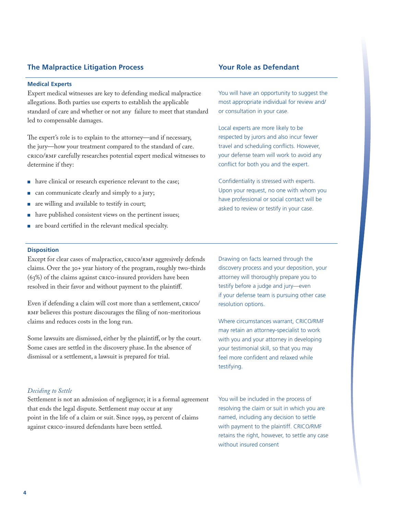#### **Medical Experts**

Expert medical witnesses are key to defending medical malpractice allegations. Both parties use experts to establish the applicable standard of care and whether or not any failure to meet that standard led to compensable damages.

The expert's role is to explain to the attorney—and if necessary, the jury—how your treatment compared to the standard of care. CRICO/RMF carefully researches potential expert medical witnesses to determine if they:

- have clinical or research experience relevant to the case;
- can communicate clearly and simply to a jury;
- are willing and available to testify in court;
- have published consistent views on the pertinent issues;
- are board certified in the relevant medical specialty.

You will have an opportunity to suggest the most appropriate individual for review and/ or consultation in your case.

Local experts are more likely to be respected by jurors and also incur fewer travel and scheduling conflicts. However, your defense team will work to avoid any conflict for both you and the expert.

Confidentiality is stressed with experts. Upon your request, no one with whom you have professional or social contact will be asked to review or testify in your case.

#### **Disposition**

Except for clear cases of malpractice, CRICO/RMF aggresively defends claims. Over the 30+ year history of the program, roughly two-thirds (63%) of the claims against CRICO-insured providers have been resolved in their favor and without payment to the plaintiff.

Even if defending a claim will cost more than a settlement, CRICO/ RMF believes this posture discourages the filing of non-meritorious claims and reduces costs in the long run.

Some lawsuits are dismissed, either by the plaintiff, or by the court. Some cases are settled in the discovery phase. In the absence of dismissal or a settlement, a lawsuit is prepared for trial.

#### *Deciding to Settle*

Settlement is not an admission of negligence; it is a formal agreement that ends the legal dispute. Settlement may occur at any point in the life of a claim or suit. Since 1999, 29 percent of claims against CRICO-insured defendants have been settled.

Drawing on facts learned through the discovery process and your deposition, your attorney will thoroughly prepare you to testify before a judge and jury—even if your defense team is pursuing other case resolution options.

Where circumstances warrant, CRICO/RMF may retain an attorney-specialist to work with you and your attorney in developing your testimonial skill, so that you may feel more confident and relaxed while testifying.

You will be included in the process of resolving the claim or suit in which you are named, including any decision to settle with payment to the plaintiff. CRICO/RMF retains the right, however, to settle any case without insured consent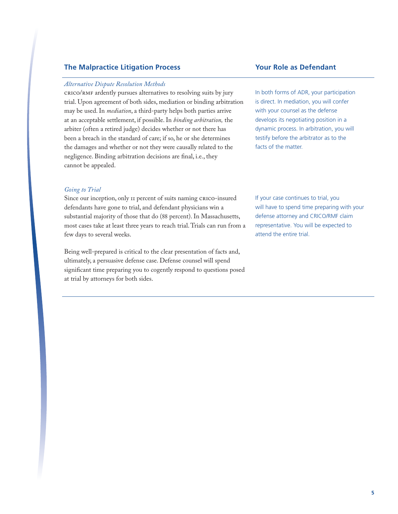#### *Alternative Dispute Resolution Methods*

CRICO/RMF ardently pursues alternatives to resolving suits by jury trial. Upon agreement of both sides, mediation or binding arbitration may be used. In *mediation*, a third-party helps both parties arrive at an acceptable settlement, if possible. In *binding arbitration,* the arbiter (often a retired judge) decides whether or not there has been a breach in the standard of care; if so, he or she determines the damages and whether or not they were causally related to the negligence. Binding arbitration decisions are final, i.e., they cannot be appealed.

#### *Going to Trial*

Since our inception, only 11 percent of suits naming CRICO-insured defendants have gone to trial, and defendant physicians win a substantial majority of those that do (88 percent). In Massachusetts, most cases take at least three years to reach trial. Trials can run from a few days to several weeks.

Being well-prepared is critical to the clear presentation of facts and, ultimately, a persuasive defense case. Defense counsel will spend significant time preparing you to cogently respond to questions posed at trial by attorneys for both sides.

In both forms of ADR, your participation is direct. In mediation, you will confer with your counsel as the defense develops its negotiating position in a dynamic process. In arbitration, you will testify before the arbitrator as to the facts of the matter.

If your case continues to trial, you will have to spend time preparing with your defense attorney and CRICO/RMF claim representative. You will be expected to attend the entire trial.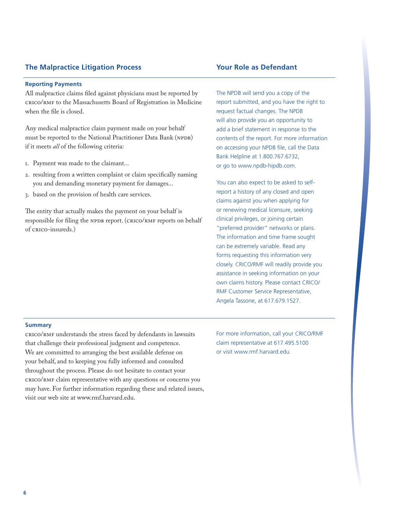#### **Reporting Payments**

All malpractice claims filed against physicians must be reported by CRICO/RMF to the Massachusetts Board of Registration in Medicine when the file is closed.

Any medical malpractice claim payment made on your behalf must be reported to the National Practitioner Data Bank (NPDB) if it meets *all* of the following criteria:

- 1. Payment was made to the claimant...
- 2. resulting from a written complaint or claim specifically naming you and demanding monetary payment for damages...
- 3. based on the provision of health care services.

The entity that actually makes the payment on your behalf is responsible for filing the NPDB report. (CRICO/RMF reports on behalf of CRICO-insureds.)

The NPDB will send you a copy of the report submitted, and you have the right to request factual changes. The NPDB will also provide you an opportunity to add a brief statement in response to the contents of the report. For more information on accessing your NPDB file, call the Data Bank Helpline at 1.800.767.6732, or go to www.npdb-hipdb.com.

You can also expect to be asked to selfreport a history of any closed and open claims against you when applying for or renewing medical licensure, seeking clinical privileges, or joining certain "preferred provider" networks or plans. The information and time frame sought can be extremely variable. Read any forms requesting this information very closely. CRICO/RMF will readily provide you assistance in seeking information on your own claims history. Please contact CRICO/ RMF Customer Service Representative, Angela Tassone, at 617.679.1527.

#### **Summary**

CRICO/RMF understands the stress faced by defendants in lawsuits that challenge their professional judgment and competence. We are committed to arranging the best available defense on your behalf, and to keeping you fully informed and consulted throughout the process. Please do not hesitate to contact your CRICO/RMF claim representative with any questions or concerns you may have. For further information regarding these and related issues, visit our web site at www.rmf.harvard.edu.

For more information, call your CRICO/RMF claim representative at 617.495.5100 or visit www.rmf.harvard.edu.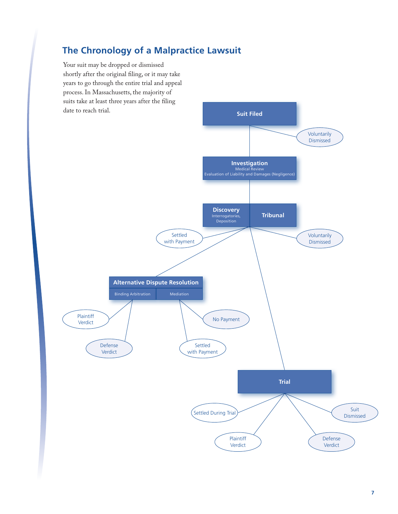# **The Chronology of a Malpractice Lawsuit**

Your suit may be dropped or dismissed shortly after the original filing, or it may take years to go through the entire trial and appeal process. In Massachusetts, the majority of suits take at least three years after the filing

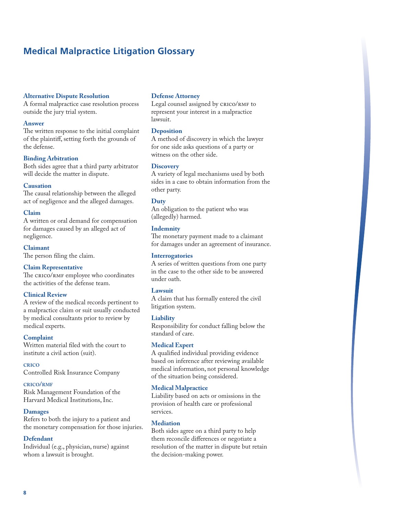## **Medical Malpractice Litigation Glossary**

#### **Alternative Dispute Resolution**

A formal malpractice case resolution process outside the jury trial system.

#### **Answer**

The written response to the initial complaint of the plaintiff, setting forth the grounds of the defense.

#### **Binding Arbitration**

Both sides agree that a third party arbitrator will decide the matter in dispute.

#### **Causation**

The causal relationship between the alleged act of negligence and the alleged damages.

#### **Claim**

A written or oral demand for compensation for damages caused by an alleged act of negligence.

**Claimant**

The person filing the claim.

#### **Claim Representative**

The CRICO/RMF employee who coordinates the activities of the defense team.

#### **Clinical Review**

A review of the medical records pertinent to a malpractice claim or suit usually conducted by medical consultants prior to review by medical experts.

#### **Complaint**

Written material filed with the court to institute a civil action (suit).

#### **crico**

Controlled Risk Insurance Company

#### **crico/rmf**

Risk Management Foundation of the Harvard Medical Institutions, Inc.

#### **Damages**

Refers to both the injury to a patient and the monetary compensation for those injuries.

#### **Defendant**

Individual (e.g., physician, nurse) against whom a lawsuit is brought.

#### **Defense Attorney**

Legal counsel assigned by CRICO/RMF to represent your interest in a malpractice lawsuit.

#### **Deposition**

A method of discovery in which the lawyer for one side asks questions of a party or witness on the other side.

#### **Discovery**

A variety of legal mechanisms used by both sides in a case to obtain information from the other party.

#### **Duty**

An obligation to the patient who was (allegedly) harmed.

#### **Indemnity**

The monetary payment made to a claimant for damages under an agreement of insurance.

#### **Interrogatories**

A series of written questions from one party in the case to the other side to be answered under oath.

#### **Lawsuit**

A claim that has formally entered the civil litigation system.

#### **Liability**

Responsibility for conduct falling below the standard of care.

#### **Medical Expert**

A qualified individual providing evidence based on inference after reviewing available medical information, not personal knowledge of the situation being considered.

#### **Medical Malpractice**

Liability based on acts or omissions in the provision of health care or professional services.

#### **Mediation**

Both sides agree on a third party to help them reconcile differences or negotiate a resolution of the matter in dispute but retain the decision-making power.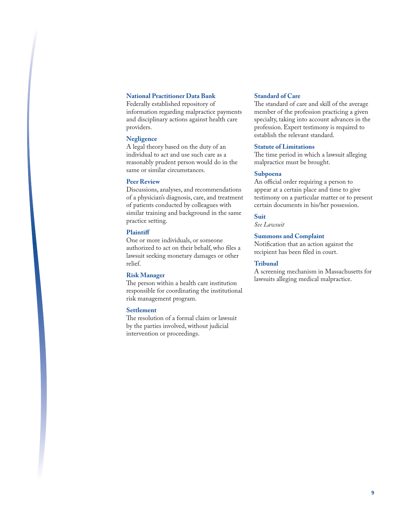## **National Practitioner Data Bank**

Federally established repository of information regarding malpractice payments and disciplinary actions against health care providers.

#### **Negligence**

A legal theory based on the duty of an individual to act and use such care as a reasonably prudent person would do in the same or similar circumstances.

#### **Peer Review**

Discussions, analyses, and recommendations of a physician's diagnosis, care, and treatment of patients conducted by colleagues with similar training and background in the same practice setting.

#### **Plaintiff**

One or more individuals, or someone authorized to act on their behalf, who files a lawsuit seeking monetary damages or other relief.

#### **Risk Manager**

The person within a health care institution responsible for coordinating the institutional risk management program.

#### **Settlement**

The resolution of a formal claim or lawsuit by the parties involved, without judicial intervention or proceedings.

#### **Standard of Care**

The standard of care and skill of the average member of the profession practicing a given specialty, taking into account advances in the profession. Expert testimony is required to establish the relevant standard.

#### **Statute of Limitations**

The time period in which a lawsuit alleging malpractice must be brought.

#### **Subpoena**

An official order requiring a person to appear at a certain place and time to give testimony on a particular matter or to present certain documents in his/her possession.

#### **Suit**

*See Lawsuit*

#### **Summons and Complaint**

Notification that an action against the recipient has been filed in court.

#### **Tribunal**

A screening mechanism in Massachusetts for lawsuits alleging medical malpractice.